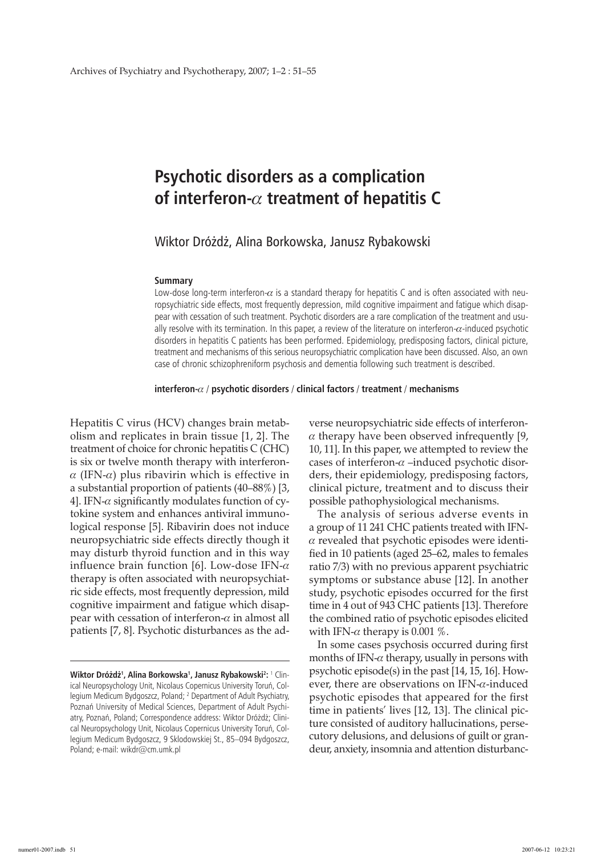## **Psychotic disorders as a complication of interferon-**a **treatment of hepatitis C**

Wiktor Dróżdż, Alina Borkowska, Janusz Rybakowski

## **Summary**

Low-dose long-term interferon- $\alpha$  is a standard therapy for hepatitis C and is often associated with neuropsychiatric side effects, most frequently depression, mild cognitive impairment and fatigue which disappear with cessation of such treatment. Psychotic disorders are a rare complication of the treatment and usually resolve with its termination. In this paper, a review of the literature on interferon- $\alpha$ -induced psychotic disorders in hepatitis C patients has been performed. Epidemiology, predisposing factors, clinical picture, treatment and mechanisms of this serious neuropsychiatric complication have been discussed. Also, an own case of chronic schizophreniform psychosis and dementia following such treatment is described.

**interferon-**a / **psychotic disorders** / **clinical factors** / **treatment** / **mechanisms**

Hepatitis C virus (HCV) changes brain metabolism and replicates in brain tissue [1, 2]. The treatment of choice for chronic hepatitis C (CHC) is six or twelve month therapy with interferon- $\alpha$  (IFN- $\alpha$ ) plus ribavirin which is effective in a substantial proportion of patients (40–88%) [3, 4]. IFN- $\alpha$  significantly modulates function of cytokine system and enhances antiviral immunological response [5]. Ribavirin does not induce neuropsychiatric side effects directly though it may disturb thyroid function and in this way influence brain function [6]. Low-dose IFN- $\alpha$ therapy is often associated with neuropsychiatric side effects, most frequently depression, mild cognitive impairment and fatigue which disappear with cessation of interferon- $\alpha$  in almost all patients [7, 8]. Psychotic disturbances as the adverse neuropsychiatric side effects of interferon- $\alpha$  therapy have been observed infrequently [9, 10, 11]. In this paper, we attempted to review the cases of interferon- $\alpha$  –induced psychotic disorders, their epidemiology, predisposing factors, clinical picture, treatment and to discuss their possible pathophysiological mechanisms.

The analysis of serious adverse events in a group of 11 241 CHC patients treated with IFN- $\alpha$  revealed that psychotic episodes were identified in 10 patients (aged 25–62, males to females ratio 7/3) with no previous apparent psychiatric symptoms or substance abuse [12]. In another study, psychotic episodes occurred for the first time in 4 out of 943 CHC patients [13]. Therefore the combined ratio of psychotic episodes elicited with IFN- $\alpha$  therapy is 0.001 %.

In some cases psychosis occurred during first months of IFN- $\alpha$  therapy, usually in persons with psychotic episode(s) in the past [14, 15, 16]. However, there are observations on IFN- $\alpha$ -induced psychotic episodes that appeared for the first time in patients' lives [12, 13]. The clinical picture consisted of auditory hallucinations, persecutory delusions, and delusions of guilt or grandeur, anxiety, insomnia and attention disturbanc-

Wiktor Dróżdż<sup>1</sup>, Alina Borkowska<sup>1</sup>, Janusz Rybakowski<sup>2</sup>: <sup>1</sup> Clinical Neuropsychology Unit, Nicolaus Copernicus University Toruń, Collegium Medicum Bydgoszcz, Poland; <sup>2</sup> Department of Adult Psychiatry, Poznań University of Medical Sciences, Department of Adult Psychiatry, Poznań, Poland; Correspondence address: Wiktor Dróżdż; Clinical Neuropsychology Unit, Nicolaus Copernicus University Toruń, Collegium Medicum Bydgoszcz, 9 Sklodowskiej St., 85–094 Bydgoszcz, Poland; e-mail: wikdr@cm.umk.pl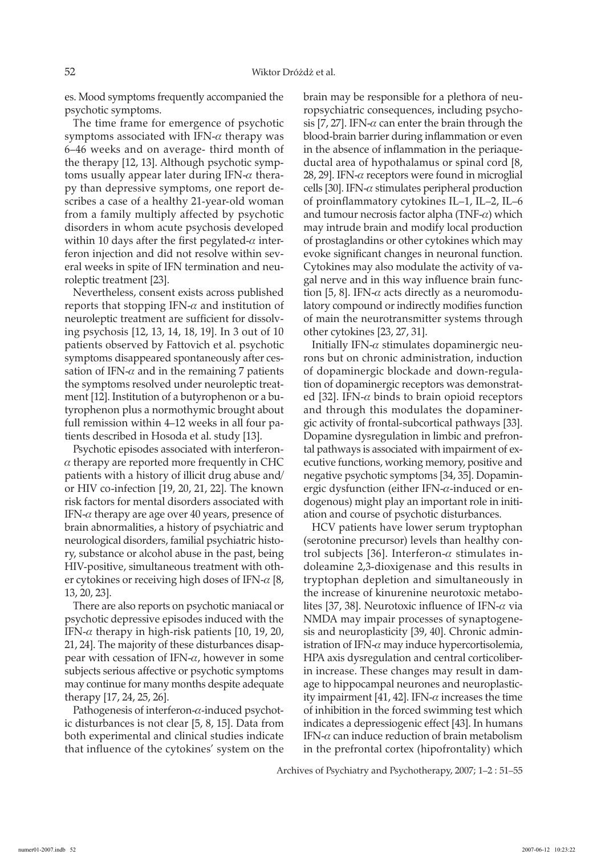es. Mood symptoms frequently accompanied the psychotic symptoms.

The time frame for emergence of psychotic symptoms associated with IFN- $\alpha$  therapy was 6–46 weeks and on average- third month of the therapy [12, 13]. Although psychotic symptoms usually appear later during IFN- $\alpha$  therapy than depressive symptoms, one report describes a case of a healthy 21-year-old woman from a family multiply affected by psychotic disorders in whom acute psychosis developed within 10 days after the first pegylated- $\alpha$  interferon injection and did not resolve within several weeks in spite of IFN termination and neuroleptic treatment [23].

Nevertheless, consent exists across published reports that stopping IFN- $\alpha$  and institution of neuroleptic treatment are sufficient for dissolving psychosis [12, 13, 14, 18, 19]. In 3 out of 10 patients observed by Fattovich et al. psychotic symptoms disappeared spontaneously after cessation of IFN- $\alpha$  and in the remaining 7 patients the symptoms resolved under neuroleptic treatment [12]. Institution of a butyrophenon or a butyrophenon plus a normothymic brought about full remission within 4–12 weeks in all four patients described in Hosoda et al. study [13].

Psychotic episodes associated with interferon- $\alpha$  therapy are reported more frequently in CHC patients with a history of illicit drug abuse and/ or HIV co-infection [19, 20, 21, 22]. The known risk factors for mental disorders associated with IFN- $\alpha$  therapy are age over 40 years, presence of brain abnormalities, a history of psychiatric and neurological disorders, familial psychiatric history, substance or alcohol abuse in the past, being HIV-positive, simultaneous treatment with other cytokines or receiving high doses of IFN- $\alpha$  [8, 13, 20, 23].

There are also reports on psychotic maniacal or psychotic depressive episodes induced with the IFN- $\alpha$  therapy in high-risk patients [10, 19, 20, 21, 24]. The majority of these disturbances disappear with cessation of IFN- $\alpha$ , however in some subjects serious affective or psychotic symptoms may continue for many months despite adequate therapy [17, 24, 25, 26].

Pathogenesis of interferon- $\alpha$ -induced psychotic disturbances is not clear [5, 8, 15]. Data from both experimental and clinical studies indicate that influence of the cytokines' system on the brain may be responsible for a plethora of neuropsychiatric consequences, including psychosis [7, 27]. IFN- $\alpha$  can enter the brain through the blood-brain barrier during inflammation or even in the absence of inflammation in the periaqueductal area of hypothalamus or spinal cord [8, 28, 29]. IFN- $\alpha$  receptors were found in microglial cells [30]. IFN- $\alpha$  stimulates peripheral production of proinflammatory cytokines IL–1, IL–2, IL–6 and tumour necrosis factor alpha (TNF- $\alpha$ ) which may intrude brain and modify local production of prostaglandins or other cytokines which may evoke significant changes in neuronal function. Cytokines may also modulate the activity of vagal nerve and in this way influence brain function [5, 8]. IFN- $\alpha$  acts directly as a neuromodulatory compound or indirectly modifies function of main the neurotransmitter systems through other cytokines [23, 27, 31].

Initially IFN- $\alpha$  stimulates dopaminergic neurons but on chronic administration, induction of dopaminergic blockade and down-regulation of dopaminergic receptors was demonstrated [32]. IFN- $\alpha$  binds to brain opioid receptors and through this modulates the dopaminergic activity of frontal-subcortical pathways [33]. Dopamine dysregulation in limbic and prefrontal pathways is associated with impairment of executive functions, working memory, positive and negative psychotic symptoms [34, 35]. Dopaminergic dysfunction (either IFN- $\alpha$ -induced or endogenous) might play an important role in initiation and course of psychotic disturbances.

HCV patients have lower serum tryptophan (serotonine precursor) levels than healthy control subjects [36]. Interferon- $\alpha$  stimulates indoleamine 2,3-dioxigenase and this results in tryptophan depletion and simultaneously in the increase of kinurenine neurotoxic metabolites [37, 38]. Neurotoxic influence of IFN- $\alpha$  via NMDA may impair processes of synaptogenesis and neuroplasticity [39, 40]. Chronic administration of IFN- $\alpha$  may induce hypercortisolemia, HPA axis dysregulation and central corticoliberin increase. These changes may result in damage to hippocampal neurones and neuroplasticity impairment [41, 42]. IFN- $\alpha$  increases the time of inhibition in the forced swimming test which indicates a depressiogenic effect [43]. In humans IFN- $\alpha$  can induce reduction of brain metabolism in the prefrontal cortex (hipofrontality) which

Archives of Psychiatry and Psychotherapy, 2007; 1–2 : 51–55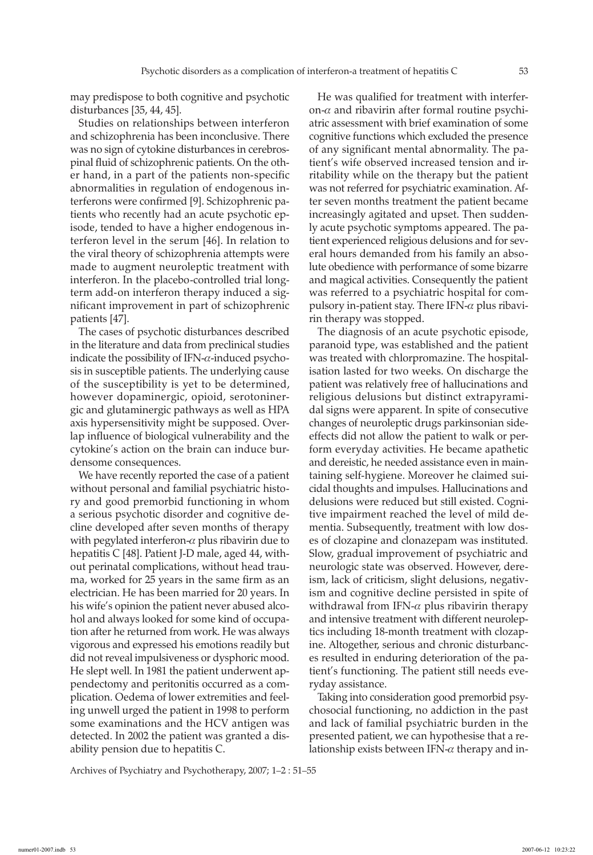may predispose to both cognitive and psychotic disturbances [35, 44, 45].

Studies on relationships between interferon and schizophrenia has been inconclusive. There was no sign of cytokine disturbances in cerebrospinal fluid of schizophrenic patients. On the other hand, in a part of the patients non-specific abnormalities in regulation of endogenous interferons were confirmed [9]. Schizophrenic patients who recently had an acute psychotic episode, tended to have a higher endogenous interferon level in the serum [46]. In relation to the viral theory of schizophrenia attempts were made to augment neuroleptic treatment with interferon. In the placebo-controlled trial longterm add-on interferon therapy induced a significant improvement in part of schizophrenic patients [47].

The cases of psychotic disturbances described in the literature and data from preclinical studies indicate the possibility of IFN- $\alpha$ -induced psychosis in susceptible patients. The underlying cause of the susceptibility is yet to be determined, however dopaminergic, opioid, serotoninergic and glutaminergic pathways as well as HPA axis hypersensitivity might be supposed. Overlap influence of biological vulnerability and the cytokine's action on the brain can induce burdensome consequences.

We have recently reported the case of a patient without personal and familial psychiatric history and good premorbid functioning in whom a serious psychotic disorder and cognitive decline developed after seven months of therapy with pegylated interferon- $\alpha$  plus ribavirin due to hepatitis C [48]. Patient J-D male, aged 44, without perinatal complications, without head trauma, worked for 25 years in the same firm as an electrician. He has been married for 20 years. In his wife's opinion the patient never abused alcohol and always looked for some kind of occupation after he returned from work. He was always vigorous and expressed his emotions readily but did not reveal impulsiveness or dysphoric mood. He slept well. In 1981 the patient underwent appendectomy and peritonitis occurred as a complication. Oedema of lower extremities and feeling unwell urged the patient in 1998 to perform some examinations and the HCV antigen was detected. In 2002 the patient was granted a disability pension due to hepatitis C.

He was qualified for treatment with interferon- $\alpha$  and ribavirin after formal routine psychiatric assessment with brief examination of some cognitive functions which excluded the presence of any significant mental abnormality. The patient's wife observed increased tension and irritability while on the therapy but the patient was not referred for psychiatric examination. After seven months treatment the patient became increasingly agitated and upset. Then suddenly acute psychotic symptoms appeared. The patient experienced religious delusions and for several hours demanded from his family an absolute obedience with performance of some bizarre and magical activities. Consequently the patient was referred to a psychiatric hospital for compulsory in-patient stay. There IFN- $\alpha$  plus ribavirin therapy was stopped.

The diagnosis of an acute psychotic episode, paranoid type, was established and the patient was treated with chlorpromazine. The hospitalisation lasted for two weeks. On discharge the patient was relatively free of hallucinations and religious delusions but distinct extrapyramidal signs were apparent. In spite of consecutive changes of neuroleptic drugs parkinsonian sideeffects did not allow the patient to walk or perform everyday activities. He became apathetic and dereistic, he needed assistance even in maintaining self-hygiene. Moreover he claimed suicidal thoughts and impulses. Hallucinations and delusions were reduced but still existed. Cognitive impairment reached the level of mild dementia. Subsequently, treatment with low doses of clozapine and clonazepam was instituted. Slow, gradual improvement of psychiatric and neurologic state was observed. However, dereism, lack of criticism, slight delusions, negativism and cognitive decline persisted in spite of withdrawal from IFN- $\alpha$  plus ribavirin therapy and intensive treatment with different neuroleptics including 18-month treatment with clozapine. Altogether, serious and chronic disturbances resulted in enduring deterioration of the patient's functioning. The patient still needs everyday assistance.

Taking into consideration good premorbid psychosocial functioning, no addiction in the past and lack of familial psychiatric burden in the presented patient, we can hypothesise that a relationship exists between IFN- $\alpha$  therapy and in-

Archives of Psychiatry and Psychotherapy, 2007; 1–2 : 51–55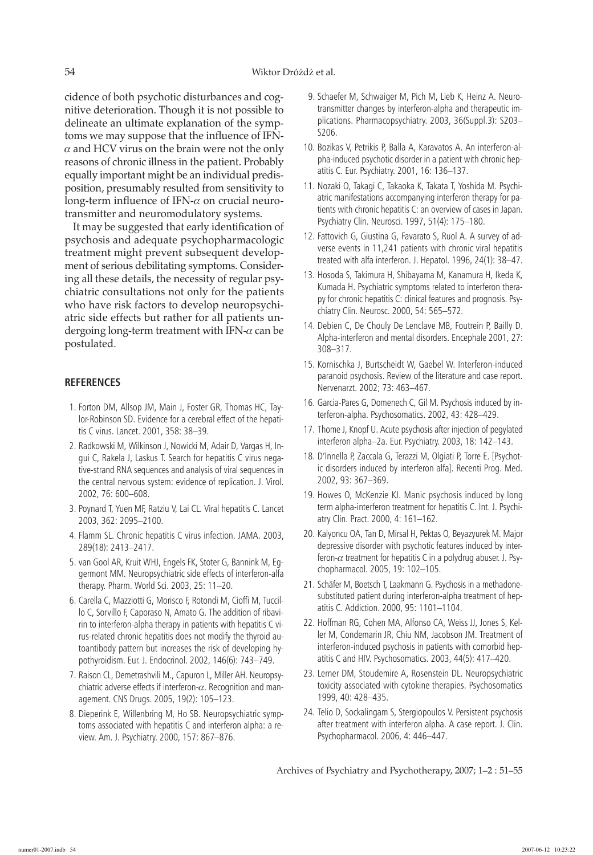cidence of both psychotic disturbances and cognitive deterioration. Though it is not possible to delineate an ultimate explanation of the symptoms we may suppose that the influence of IFN- $\alpha$  and HCV virus on the brain were not the only reasons of chronic illness in the patient. Probably equally important might be an individual predisposition, presumably resulted from sensitivity to long-term influence of IFN- $\alpha$  on crucial neurotransmitter and neuromodulatory systems.

It may be suggested that early identification of psychosis and adequate psychopharmacologic treatment might prevent subsequent development of serious debilitating symptoms. Considering all these details, the necessity of regular psychiatric consultations not only for the patients who have risk factors to develop neuropsychiatric side effects but rather for all patients undergoing long-term treatment with IFN- $\alpha$  can be postulated.

## **References**

- 1. Forton DM, Allsop JM, Main J, Foster GR, Thomas HC, Taylor-Robinson SD. Evidence for a cerebral effect of the hepatitis C virus. Lancet. 2001, 358: 38–39.
- 2. Radkowski M, Wilkinson J, Nowicki M, Adair D, Vargas H, Ingui C, Rakela J, Laskus T. Search for hepatitis C virus negative-strand RNA sequences and analysis of viral sequences in the central nervous system: evidence of replication. J. Virol. 2002, 76: 600–608.
- 3. Poynard T, Yuen MF, Ratziu V, Lai CL. Viral hepatitis C. Lancet 2003, 362: 2095–2100.
- 4. Flamm SL. Chronic hepatitis C virus infection. JAMA. 2003, 289(18): 2413–2417.
- 5. van Gool AR, Kruit WHJ, Engels FK, Stoter G, Bannink M, Eggermont MM. Neuropsychiatric side effects of interferon-alfa therapy. Pharm. World Sci. 2003, 25: 11–20.
- 6. Carella C, Mazziotti G, Morisco F, Rotondi M, Cioffi M, Tuccillo C, Sorvillo F, Caporaso N, Amato G. The addition of ribavirin to interferon-alpha therapy in patients with hepatitis C virus-related chronic hepatitis does not modify the thyroid autoantibody pattern but increases the risk of developing hypothyroidism. Eur. J. Endocrinol. 2002, 146(6): 743–749.
- 7. Raison CL, Demetrashvili M., Capuron L, Miller AH. Neuropsychiatric adverse effects if interferon- $\alpha$ . Recognition and management. CNS Drugs. 2005, 19(2): 105–123.
- 8. Dieperink E, Willenbring M, Ho SB. Neuropsychiatric symptoms associated with hepatitis C and interferon alpha: a review. Am. J. Psychiatry. 2000, 157: 867–876.
- 9. Schaefer M, Schwaiger M, Pich M, Lieb K, Heinz A. Neurotransmitter changes by interferon-alpha and therapeutic implications. Pharmacopsychiatry. 2003, 36(Suppl.3): S203– S206.
- 10. Bozikas V, Petrikis P, Balla A, Karavatos A. An interferon-alpha-induced psychotic disorder in a patient with chronic hepatitis C. Eur. Psychiatry. 2001, 16: 136–137.
- 11. Nozaki O, Takagi C, Takaoka K, Takata T, Yoshida M. Psychiatric manifestations accompanying interferon therapy for patients with chronic hepatitis C: an overview of cases in Japan. Psychiatry Clin. Neurosci. 1997, 51(4): 175–180.
- 12. Fattovich G, Giustina G, Favarato S, Ruol A. A survey of adverse events in 11,241 patients with chronic viral hepatitis treated with alfa interferon. J. Hepatol. 1996, 24(1): 38–47.
- 13. Hosoda S, Takimura H, Shibayama M, Kanamura H, Ikeda K, Kumada H. Psychiatric symptoms related to interferon therapy for chronic hepatitis C: clinical features and prognosis. Psychiatry Clin. Neurosc. 2000, 54: 565–572.
- 14. Debien C, De Chouly De Lenclave MB, Foutrein P, Bailly D. Alpha-interferon and mental disorders. Encephale 2001, 27: 308–317.
- 15. Kornischka J, Burtscheidt W, Gaebel W. Interferon-induced paranoid psychosis. Review of the literature and case report. Nervenarzt. 2002; 73: 463–467.
- 16. Garcia-Pares G, Domenech C, Gil M. Psychosis induced by interferon-alpha. Psychosomatics. 2002, 43: 428–429.
- 17. Thome J, Knopf U. Acute psychosis after injection of pegylated interferon alpha–2a. Eur. Psychiatry. 2003, 18: 142–143.
- 18. D'Innella P, Zaccala G, Terazzi M, Olgiati P, Torre E. [Psychotic disorders induced by interferon alfa]. Recenti Prog. Med. 2002, 93: 367–369.
- 19. Howes O, McKenzie KJ. Manic psychosis induced by long term alpha-interferon treatment for hepatitis C. Int. J. Psychiatry Clin. Pract. 2000, 4: 161–162.
- 20. Kalyoncu OA, Tan D, Mirsal H, Pektas O, Beyazyurek M. Major depressive disorder with psychotic features induced by interferon- $\alpha$  treatment for hepatitis C in a polydrug abuser. J. Psychopharmacol. 2005, 19: 102–105.
- 21. Schäfer M, Boetsch T, Laakmann G. Psychosis in a methadonesubstituted patient during interferon-alpha treatment of hepatitis C. Addiction. 2000, 95: 1101–1104.
- 22. Hoffman RG, Cohen MA, Alfonso CA, Weiss JJ, Jones S, Keller M, Condemarin JR, Chiu NM, Jacobson JM. Treatment of interferon-induced psychosis in patients with comorbid hepatitis C and HIV. Psychosomatics. 2003, 44(5): 417–420.
- 23. Lerner DM, Stoudemire A, Rosenstein DL. Neuropsychiatric toxicity associated with cytokine therapies. Psychosomatics 1999, 40: 428–435.
- 24. Telio D, Sockalingam S, Stergiopoulos V. Persistent psychosis after treatment with interferon alpha. A case report. J. Clin. Psychopharmacol. 2006, 4: 446–447.

Archives of Psychiatry and Psychotherapy, 2007; 1–2 : 51–55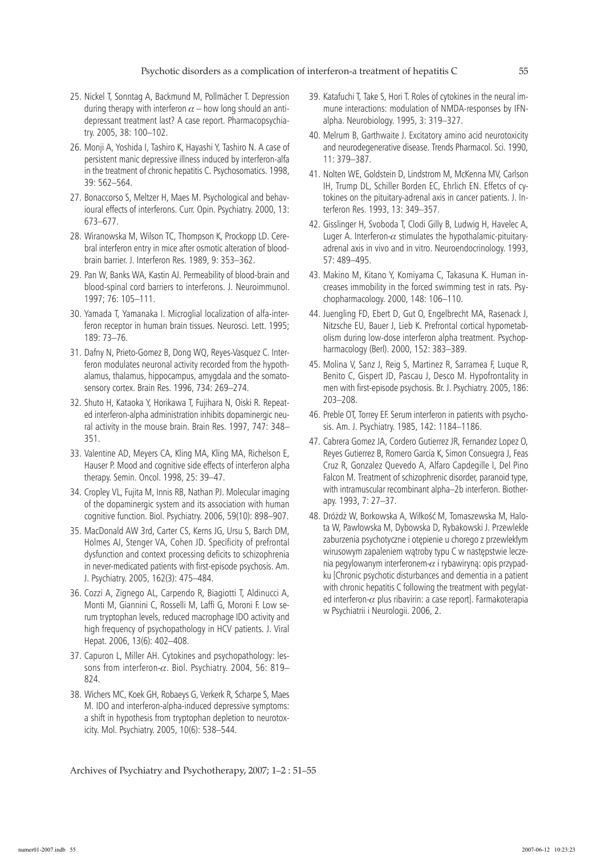- 25. Nickel T, Sonntag A, Backmund M, Pollmächer T. Depression during therapy with interferon  $\alpha$  – how long should an antidepressant treatment last? A case report. Pharmacopsychiatry. 2005, 38: 100–102.
- 26. Monji A, Yoshida I, Tashiro K, Hayashi Y, Tashiro N. A case of persistent manic depressive illness induced by interferon-alfa in the treatment of chronic hepatitis C. Psychosomatics. 1998, 39: 562–564.
- 27. Bonaccorso S, Meltzer H, Maes M. Psychological and behavioural effects of interferons. Curr. Opin. Psychiatry. 2000, 13: 673–677.
- 28. Wiranowska M, Wilson TC, Thompson K, Prockopp LD. Cerebral interferon entry in mice after osmotic alteration of bloodbrain barrier. J. Interferon Res. 1989, 9: 353–362.
- 29. Pan W, Banks WA, Kastin AJ. Permeability of blood-brain and blood-spinal cord barriers to interferons. J. Neuroimmunol. 1997; 76: 105–111.
- 30. Yamada T, Yamanaka I. Microglial localization of alfa-interferon receptor in human brain tissues. Neurosci. Lett. 1995; 189: 73–76.
- 31. Dafny N, Prieto-Gomez B, Dong WQ, Reyes-Vasquez C. Interferon modulates neuronal activity recorded from the hypothalamus, thalamus, hippocampus, amygdala and the somatosensory cortex. Brain Res. 1996, 734: 269–274.
- 32. Shuto H, Kataoka Y, Horikawa T, Fujihara N, Oiski R. Repeated interferon-alpha administration inhibits dopaminergic neural activity in the mouse brain. Brain Res. 1997, 747: 348– 351.
- 33. Valentine AD, Meyers CA, Kling MA, Kling MA, Richelson E, Hauser P. Mood and cognitive side effects of interferon alpha therapy. Semin. Oncol. 1998, 25: 39–47.
- 34. Cropley VL, Fujita M, Innis RB, Nathan PJ. Molecular imaging of the dopaminergic system and its association with human cognitive function. Biol. Psychiatry. 2006, 59(10): 898–907.
- 35. MacDonald AW 3rd, Carter CS, Kerns JG, Ursu S, Barch DM, Holmes AJ, Stenger VA, Cohen JD. Specificity of prefrontal dysfunction and context processing deficits to schizophrenia in never-medicated patients with first-episode psychosis. Am. J. Psychiatry. 2005, 162(3): 475–484.
- 36. Cozzi A, Zignego AL, Carpendo R, Biagiotti T, Aldinucci A, Monti M, Giannini C, Rosselli M, Laffi G, Moroni F. Low serum tryptophan levels, reduced macrophage IDO activity and high frequency of psychopathology in HCV patients. J. Viral Hepat. 2006, 13(6): 402–408.
- 37. Capuron L, Miller AH. Cytokines and psychopathology: lessons from interferon- $\alpha$ . Biol. Psychiatry. 2004, 56: 819-824.
- 38. Wichers MC, Koek GH, Robaeys G, Verkerk R, Scharpe S, Maes M. IDO and interferon-alpha-induced depressive symptoms: a shift in hypothesis from tryptophan depletion to neurotoxicity. Mol. Psychiatry. 2005, 10(6): 538–544.
- 39. Katafuchi T, Take S, Hori T. Roles of cytokines in the neural immune interactions: modulation of NMDA-responses by IFNalpha. Neurobiology. 1995, 3: 319–327.
- 40. Melrum B, Garthwaite J. Excitatory amino acid neurotoxicity and neurodegenerative disease. Trends Pharmacol. Sci. 1990, 11: 379–387.
- 41. Nolten WE, Goldstein D, Lindstrom M, McKenna MV, Carlson IH, Trump DL, Schiller Borden EC, Ehrlich EN. Effetcs of cytokines on the pituitary-adrenal axis in cancer patients. J. Interferon Res. 1993, 13: 349–357.
- 42. Gisslinger H, Svoboda T, Clodi Gilly B, Ludwig H, Havelec A, Luger A. Interferon- $\alpha$  stimulates the hypothalamic-pituitaryadrenal axis in vivo and in vitro. Neuroendocrinology. 1993, 57: 489–495.
- 43. Makino M, Kitano Y, Komiyama C, Takasuna K. Human increases immobility in the forced swimming test in rats. Psychopharmacology. 2000, 148: 106–110.
- 44. Juengling FD, Ebert D, Gut O, Engelbrecht MA, Rasenack J, Nitzsche EU, Bauer J, Lieb K. Prefrontal cortical hypometabolism during low-dose interferon alpha treatment. Psychopharmacology (Berl). 2000, 152: 383–389.
- 45. Molina V, Sanz J, Reig S, Martinez R, Sarramea F, Luque R, Benito C, Gispert JD, Pascau J, Desco M. Hypofrontality in men with first-episode psychosis. Br. J. Psychiatry. 2005, 186: 203–208.
- 46. Preble OT, Torrey EF. Serum interferon in patients with psychosis. Am. J. Psychiatry. 1985, 142: 1184–1186.
- 47. Cabrera Gomez JA, Cordero Gutierrez JR, Fernandez Lopez O, Reyes Gutierrez B, Romero Garcia K, Simon Consuegra J, Feas Cruz R, Gonzalez Quevedo A, Alfaro Capdegille I, Del Pino Falcon M. Treatment of schizophrenic disorder, paranoid type, with intramuscular recombinant alpha–2b interferon. Biotherapy. 1993, 7: 27–37.
- 48. Dróżdż W, Borkowska A, Wiłkość M, Tomaszewska M, Halota W, Pawłowska M, Dybowska D, Rybakowski J. Przewlekłe zaburzenia psychotyczne i otępienie u chorego z przewlekłym wirusowym zapaleniem wątroby typu C w następstwie leczenia pegylowanym interferonem- $\alpha$  i rybawiryną: opis przypadku [Chronic psychotic disturbances and dementia in a patient with chronic hepatitis C following the treatment with pegylated interferon- $\alpha$  plus ribavirin: a case report]. Farmakoterapia w Psychiatrii i Neurologii. 2006, 2.